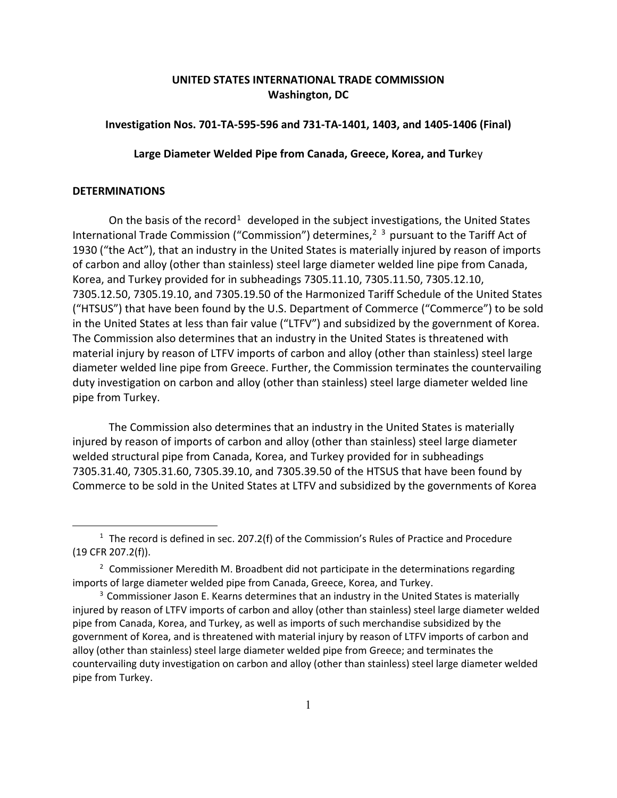# **UNITED STATES INTERNATIONAL TRADE COMMISSION Washington, DC**

## **Investigation Nos. 701-TA-595-596 and 731-TA-1401, 1403, and 1405-1406 (Final)**

### **Large Diameter Welded Pipe from Canada, Greece, Korea, and Turk**ey

#### **DETERMINATIONS**

 $\overline{a}$ 

On the basis of the record<sup>[1](#page-0-0)</sup> developed in the subject investigations, the United States International Trade Commission ("Commission") determines,<sup>[2](#page-0-1)</sup><sup>[3](#page-0-2)</sup> pursuant to the Tariff Act of 1930 ("the Act"), that an industry in the United States is materially injured by reason of imports of carbon and alloy (other than stainless) steel large diameter welded line pipe from Canada, Korea, and Turkey provided for in subheadings 7305.11.10, 7305.11.50, 7305.12.10, 7305.12.50, 7305.19.10, and 7305.19.50 of the Harmonized Tariff Schedule of the United States ("HTSUS") that have been found by the U.S. Department of Commerce ("Commerce") to be sold in the United States at less than fair value ("LTFV") and subsidized by the government of Korea. The Commission also determines that an industry in the United States is threatened with material injury by reason of LTFV imports of carbon and alloy (other than stainless) steel large diameter welded line pipe from Greece. Further, the Commission terminates the countervailing duty investigation on carbon and alloy (other than stainless) steel large diameter welded line pipe from Turkey.

The Commission also determines that an industry in the United States is materially injured by reason of imports of carbon and alloy (other than stainless) steel large diameter welded structural pipe from Canada, Korea, and Turkey provided for in subheadings 7305.31.40, 7305.31.60, 7305.39.10, and 7305.39.50 of the HTSUS that have been found by Commerce to be sold in the United States at LTFV and subsidized by the governments of Korea

<span id="page-0-0"></span> $1$  The record is defined in sec. 207.2(f) of the Commission's Rules of Practice and Procedure (19 CFR 207.2(f)).

<span id="page-0-1"></span> $2$  Commissioner Meredith M. Broadbent did not participate in the determinations regarding imports of large diameter welded pipe from Canada, Greece, Korea, and Turkey.

<span id="page-0-2"></span><sup>&</sup>lt;sup>3</sup> Commissioner Jason E. Kearns determines that an industry in the United States is materially injured by reason of LTFV imports of carbon and alloy (other than stainless) steel large diameter welded pipe from Canada, Korea, and Turkey, as well as imports of such merchandise subsidized by the government of Korea, and is threatened with material injury by reason of LTFV imports of carbon and alloy (other than stainless) steel large diameter welded pipe from Greece; and terminates the countervailing duty investigation on carbon and alloy (other than stainless) steel large diameter welded pipe from Turkey.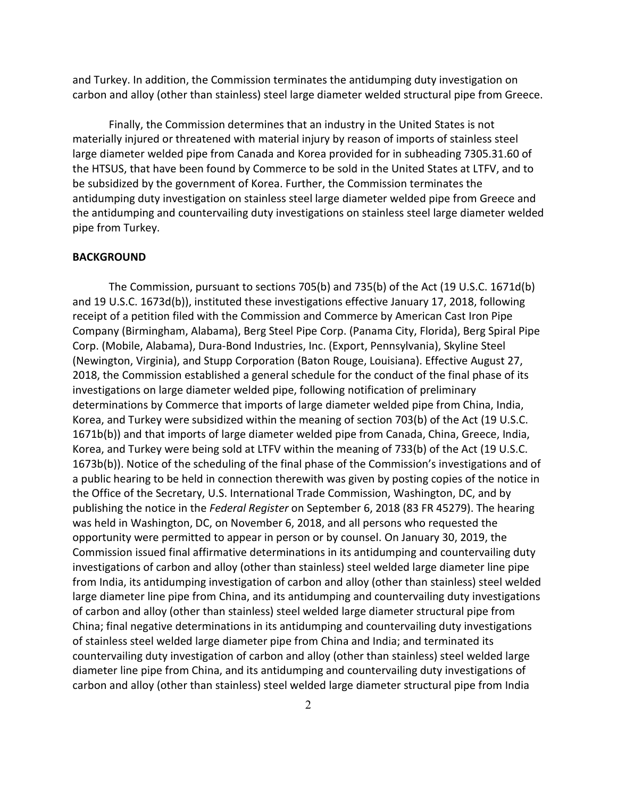and Turkey. In addition, the Commission terminates the antidumping duty investigation on carbon and alloy (other than stainless) steel large diameter welded structural pipe from Greece.

Finally, the Commission determines that an industry in the United States is not materially injured or threatened with material injury by reason of imports of stainless steel large diameter welded pipe from Canada and Korea provided for in subheading 7305.31.60 of the HTSUS, that have been found by Commerce to be sold in the United States at LTFV, and to be subsidized by the government of Korea. Further, the Commission terminates the antidumping duty investigation on stainless steel large diameter welded pipe from Greece and the antidumping and countervailing duty investigations on stainless steel large diameter welded pipe from Turkey.

### **BACKGROUND**

The Commission, pursuant to sections 705(b) and 735(b) of the Act (19 U.S.C. 1671d(b) and 19 U.S.C. 1673d(b)), instituted these investigations effective January 17, 2018, following receipt of a petition filed with the Commission and Commerce by American Cast Iron Pipe Company (Birmingham, Alabama), Berg Steel Pipe Corp. (Panama City, Florida), Berg Spiral Pipe Corp. (Mobile, Alabama), Dura-Bond Industries, Inc. (Export, Pennsylvania), Skyline Steel (Newington, Virginia), and Stupp Corporation (Baton Rouge, Louisiana). Effective August 27, 2018, the Commission established a general schedule for the conduct of the final phase of its investigations on large diameter welded pipe, following notification of preliminary determinations by Commerce that imports of large diameter welded pipe from China, India, Korea, and Turkey were subsidized within the meaning of section 703(b) of the Act (19 U.S.C. 1671b(b)) and that imports of large diameter welded pipe from Canada, China, Greece, India, Korea, and Turkey were being sold at LTFV within the meaning of 733(b) of the Act (19 U.S.C. 1673b(b)). Notice of the scheduling of the final phase of the Commission's investigations and of a public hearing to be held in connection therewith was given by posting copies of the notice in the Office of the Secretary, U.S. International Trade Commission, Washington, DC, and by publishing the notice in the *Federal Register* on September 6, 2018 (83 FR 45279). The hearing was held in Washington, DC, on November 6, 2018, and all persons who requested the opportunity were permitted to appear in person or by counsel. On January 30, 2019, the Commission issued final affirmative determinations in its antidumping and countervailing duty investigations of carbon and alloy (other than stainless) steel welded large diameter line pipe from India, its antidumping investigation of carbon and alloy (other than stainless) steel welded large diameter line pipe from China, and its antidumping and countervailing duty investigations of carbon and alloy (other than stainless) steel welded large diameter structural pipe from China; final negative determinations in its antidumping and countervailing duty investigations of stainless steel welded large diameter pipe from China and India; and terminated its countervailing duty investigation of carbon and alloy (other than stainless) steel welded large diameter line pipe from China, and its antidumping and countervailing duty investigations of carbon and alloy (other than stainless) steel welded large diameter structural pipe from India